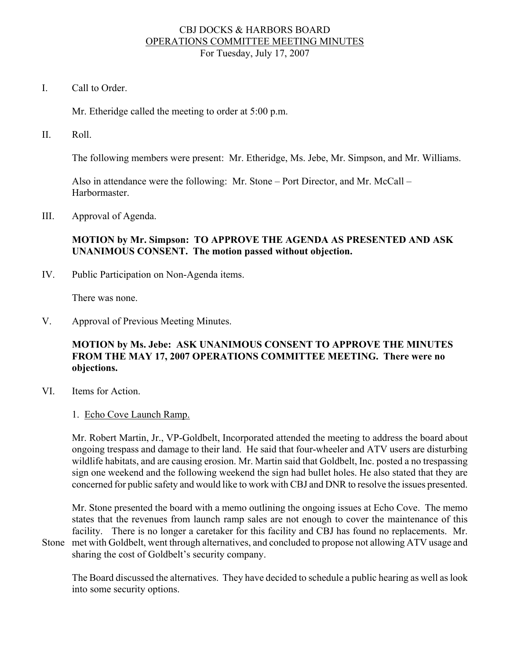### CBJ DOCKS & HARBORS BOARD OPERATIONS COMMITTEE MEETING MINUTES For Tuesday, July 17, 2007

I. Call to Order.

Mr. Etheridge called the meeting to order at 5:00 p.m.

II. Roll.

The following members were present: Mr. Etheridge, Ms. Jebe, Mr. Simpson, and Mr. Williams.

Also in attendance were the following: Mr. Stone – Port Director, and Mr. McCall – Harbormaster.

III. Approval of Agenda.

### **MOTION by Mr. Simpson: TO APPROVE THE AGENDA AS PRESENTED AND ASK UNANIMOUS CONSENT. The motion passed without objection.**

IV. Public Participation on Non-Agenda items.

There was none.

V. Approval of Previous Meeting Minutes.

# **MOTION by Ms. Jebe: ASK UNANIMOUS CONSENT TO APPROVE THE MINUTES FROM THE MAY 17, 2007 OPERATIONS COMMITTEE MEETING. There were no objections.**

- VI. Items for Action.
	- 1. Echo Cove Launch Ramp.

 Mr. Robert Martin, Jr., VP-Goldbelt, Incorporated attended the meeting to address the board about ongoing trespass and damage to their land. He said that four-wheeler and ATV users are disturbing wildlife habitats, and are causing erosion. Mr. Martin said that Goldbelt, Inc. posted a no trespassing sign one weekend and the following weekend the sign had bullet holes. He also stated that they are concerned for public safety and would like to work with CBJ and DNR to resolve the issues presented.

 Mr. Stone presented the board with a memo outlining the ongoing issues at Echo Cove. The memo states that the revenues from launch ramp sales are not enough to cover the maintenance of this facility. There is no longer a caretaker for this facility and CBJ has found no replacements. Mr. Stone met with Goldbelt, went through alternatives, and concluded to propose not allowing ATV usage and

sharing the cost of Goldbelt's security company.

 The Board discussed the alternatives. They have decided to schedule a public hearing as well as look into some security options.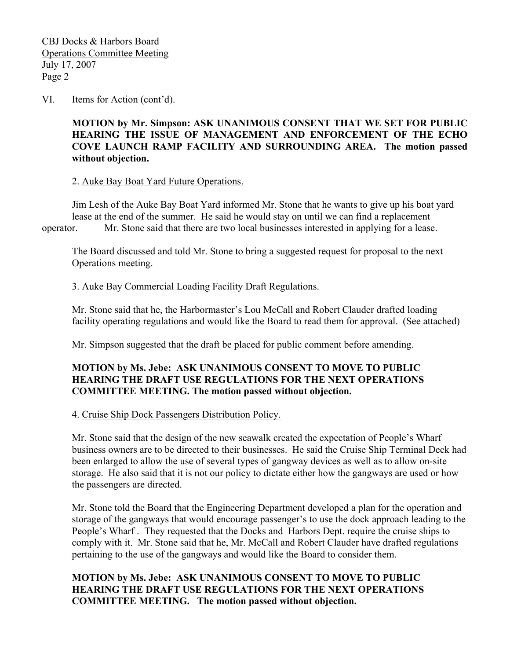VI. Items for Action (cont'd).

# **MOTION by Mr. Simpson: ASK UNANIMOUS CONSENT THAT WE SET FOR PUBLIC HEARING THE ISSUE OF MANAGEMENT AND ENFORCEMENT OF THE ECHO COVE LAUNCH RAMP FACILITY AND SURROUNDING AREA. The motion passed without objection.**

#### 2. Auke Bay Boat Yard Future Operations.

 Jim Lesh of the Auke Bay Boat Yard informed Mr. Stone that he wants to give up his boat yard lease at the end of the summer. He said he would stay on until we can find a replacement operator. Mr. Stone said that there are two local businesses interested in applying for a lease.

 The Board discussed and told Mr. Stone to bring a suggested request for proposal to the next Operations meeting.

### 3. Auke Bay Commercial Loading Facility Draft Regulations.

 Mr. Stone said that he, the Harbormaster's Lou McCall and Robert Clauder drafted loading facility operating regulations and would like the Board to read them for approval. (See attached)

Mr. Simpson suggested that the draft be placed for public comment before amending.

### **MOTION by Ms. Jebe: ASK UNANIMOUS CONSENT TO MOVE TO PUBLIC HEARING THE DRAFT USE REGULATIONS FOR THE NEXT OPERATIONS COMMITTEE MEETING. The motion passed without objection.**

4. Cruise Ship Dock Passengers Distribution Policy.

 Mr. Stone said that the design of the new seawalk created the expectation of People's Wharf business owners are to be directed to their businesses. He said the Cruise Ship Terminal Deck had been enlarged to allow the use of several types of gangway devices as well as to allow on-site storage. He also said that it is not our policy to dictate either how the gangways are used or how the passengers are directed.

 Mr. Stone told the Board that the Engineering Department developed a plan for the operation and storage of the gangways that would encourage passenger's to use the dock approach leading to the People's Wharf . They requested that the Docks and Harbors Dept. require the cruise ships to comply with it. Mr. Stone said that he, Mr. McCall and Robert Clauder have drafted regulations pertaining to the use of the gangways and would like the Board to consider them.

# **MOTION by Ms. Jebe: ASK UNANIMOUS CONSENT TO MOVE TO PUBLIC HEARING THE DRAFT USE REGULATIONS FOR THE NEXT OPERATIONS COMMITTEE MEETING. The motion passed without objection.**